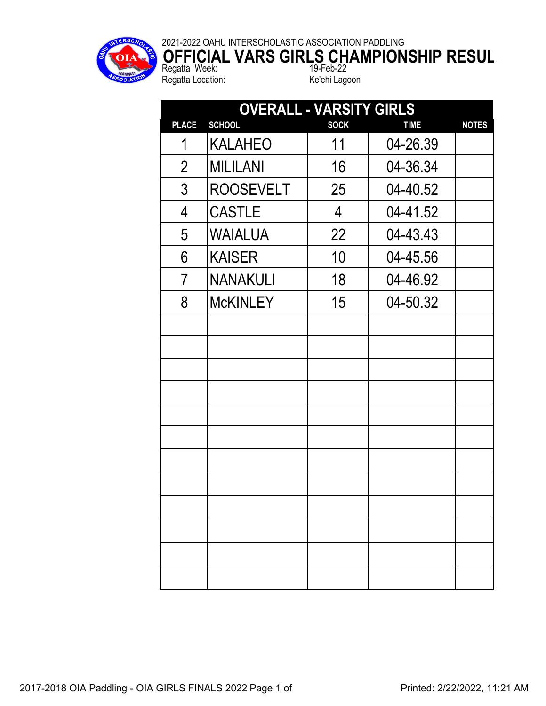

## 2021-2022 OAHU INTERSCHOLASTIC ASSOCIATION PADDLING **OFFICIAL VARS GIRLS CHAMPIONSHIP RESUL**

Regatta Week: 19-Feb-22 Regatta Location: Ke'ehi Lagoon

| <b>OVERALL - VARSITY GIRLS</b> |                  |             |             |              |  |  |  |  |
|--------------------------------|------------------|-------------|-------------|--------------|--|--|--|--|
| <b>PLACE</b>                   | <b>SCHOOL</b>    | <b>SOCK</b> | <b>TIME</b> | <b>NOTES</b> |  |  |  |  |
| 1                              | <b>KALAHEO</b>   | 11          | 04-26.39    |              |  |  |  |  |
| $\overline{2}$                 | <b>MILILANI</b>  | 16          | 04-36.34    |              |  |  |  |  |
| 3                              | <b>ROOSEVELT</b> | 25          | 04-40.52    |              |  |  |  |  |
| 4                              | <b>CASTLE</b>    | 4           | 04-41.52    |              |  |  |  |  |
| 5                              | WAIALUA          | 22          | 04-43.43    |              |  |  |  |  |
| 6                              | <b>KAISER</b>    | 10          | 04-45.56    |              |  |  |  |  |
| $\overline{7}$                 | <b>NANAKULI</b>  | 18          | 04-46.92    |              |  |  |  |  |
| 8                              | <b>McKINLEY</b>  | 15          | 04-50.32    |              |  |  |  |  |
|                                |                  |             |             |              |  |  |  |  |
|                                |                  |             |             |              |  |  |  |  |
|                                |                  |             |             |              |  |  |  |  |
|                                |                  |             |             |              |  |  |  |  |
|                                |                  |             |             |              |  |  |  |  |
|                                |                  |             |             |              |  |  |  |  |
|                                |                  |             |             |              |  |  |  |  |
|                                |                  |             |             |              |  |  |  |  |
|                                |                  |             |             |              |  |  |  |  |
|                                |                  |             |             |              |  |  |  |  |
|                                |                  |             |             |              |  |  |  |  |
|                                |                  |             |             |              |  |  |  |  |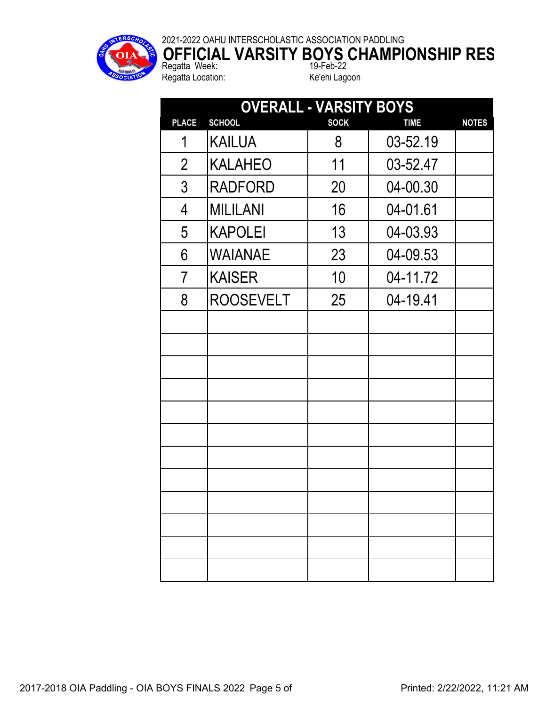

2021-2022 OAHU INTERSCHOLASTIC ASSOCIATION PADDLING

**OFFICIAL VARSITY BOYS CHAMPIONSHIP RES**

Regatta Location: Ke'ehi Lagoon

Regatta Week: 19-Feb-22

| <b>OVERALL - VARSITY BOYS</b> |                  |             |             |              |  |  |  |
|-------------------------------|------------------|-------------|-------------|--------------|--|--|--|
| <b>PLACE</b>                  | <b>SCHOOL</b>    | <b>SOCK</b> | <b>TIME</b> | <b>NOTES</b> |  |  |  |
| 1                             | <b>KAILUA</b>    | 8           | 03-52.19    |              |  |  |  |
| $\overline{2}$                | <b>KALAHEO</b>   | 11          | 03-52.47    |              |  |  |  |
| 3                             | <b>RADFORD</b>   | 20          | 04-00.30    |              |  |  |  |
| 4                             | <b>MILILANI</b>  | 16          | 04-01.61    |              |  |  |  |
| 5                             | <b>KAPOLEI</b>   | 13          | 04-03.93    |              |  |  |  |
| 6                             | <b>WAIANAE</b>   | 23          | 04-09.53    |              |  |  |  |
| $\overline{7}$                | <b>KAISER</b>    | 10          | 04-11.72    |              |  |  |  |
| 8                             | <b>ROOSEVELT</b> | 25          | 04-19.41    |              |  |  |  |
|                               |                  |             |             |              |  |  |  |
|                               |                  |             |             |              |  |  |  |
|                               |                  |             |             |              |  |  |  |
|                               |                  |             |             |              |  |  |  |
|                               |                  |             |             |              |  |  |  |
|                               |                  |             |             |              |  |  |  |
|                               |                  |             |             |              |  |  |  |
|                               |                  |             |             |              |  |  |  |
|                               |                  |             |             |              |  |  |  |
|                               |                  |             |             |              |  |  |  |
|                               |                  |             |             |              |  |  |  |
|                               |                  |             |             |              |  |  |  |